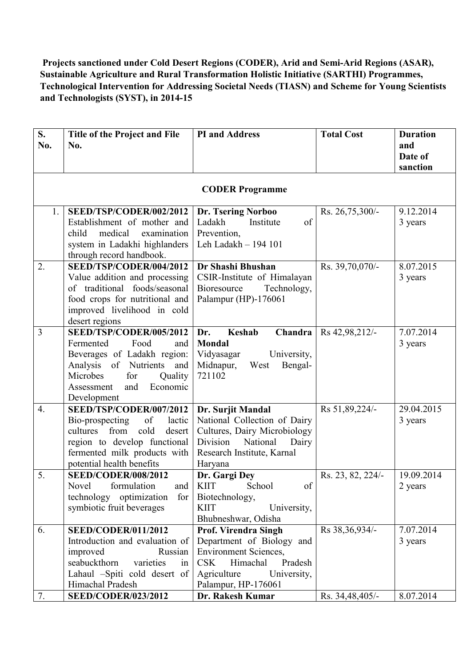## **Projects sanctioned under Cold Desert Regions (CODER), Arid and Semi-Arid Regions (ASAR), Sustainable Agriculture and Rural Transformation Holistic Initiative (SARTHI) Programmes, Technological Intervention for Addressing Societal Needs (TIASN) and Scheme for Young Scientists and Technologists (SYST), in 2014-15**

| S.  | Title of the Project and File             | <b>PI</b> and Address                              | <b>Total Cost</b> | <b>Duration</b> |
|-----|-------------------------------------------|----------------------------------------------------|-------------------|-----------------|
| No. | No.                                       |                                                    |                   | and             |
|     |                                           |                                                    |                   | Date of         |
|     |                                           |                                                    |                   | sanction        |
|     |                                           |                                                    |                   |                 |
|     |                                           | <b>CODER Programme</b>                             |                   |                 |
| 1.  | SEED/TSP/CODER/002/2012                   | Dr. Tsering Norboo                                 | Rs. 26,75,300/-   | 9.12.2014       |
|     | Establishment of mother and               | of<br>Ladakh<br>Institute                          |                   | 3 years         |
|     | child<br>medical<br>examination           | Prevention,                                        |                   |                 |
|     | system in Ladakhi highlanders             | Leh Ladakh - 194 101                               |                   |                 |
|     | through record handbook.                  |                                                    |                   |                 |
| 2.  | SEED/TSP/CODER/004/2012                   | Dr Shashi Bhushan                                  | Rs. 39,70,070/-   | 8.07.2015       |
|     | Value addition and processing             | CSIR-Institute of Himalayan                        |                   | 3 years         |
|     | of traditional foods/seasonal             | Bioresource<br>Technology,                         |                   |                 |
|     | food crops for nutritional and            | Palampur (HP)-176061                               |                   |                 |
|     | improved livelihood in cold               |                                                    |                   |                 |
|     | desert regions<br>SEED/TSP/CODER/005/2012 |                                                    |                   | 7.07.2014       |
| 3   | Fermented<br>Food<br>and                  | Keshab<br>Chandra<br>Dr.<br>Mondal                 | Rs 42,98,212/-    | 3 years         |
|     | Beverages of Ladakh region:               | Vidyasagar<br>University,                          |                   |                 |
|     | Analysis of Nutrients<br>and              | Midnapur,<br>West<br>Bengal-                       |                   |                 |
|     | Microbes<br>for<br>Quality                | 721102                                             |                   |                 |
|     | Economic<br>and<br>Assessment             |                                                    |                   |                 |
|     | Development                               |                                                    |                   |                 |
| 4.  | SEED/TSP/CODER/007/2012                   | Dr. Surjit Mandal                                  | Rs 51,89,224/-    | 29.04.2015      |
|     | of<br>Bio-prospecting<br>lactic           | National Collection of Dairy                       |                   | 3 years         |
|     | from<br>cold<br>cultures<br>desert        | Cultures, Dairy Microbiology                       |                   |                 |
|     | region to develop functional              | National<br>Division<br>Dairy                      |                   |                 |
|     | fermented milk products with              | Research Institute, Karnal                         |                   |                 |
|     | potential health benefits                 | Haryana                                            |                   |                 |
| 5.  | <b>SEED/CODER/008/2012</b>                | Dr. Gargi Dey                                      | Rs. 23, 82, 224/- | 19.09.2014      |
|     | formulation<br>Novel<br>and               | School<br><b>KIIT</b><br>of                        |                   | 2 years         |
|     | technology optimization<br>for            | Biotechnology,                                     |                   |                 |
|     | symbiotic fruit beverages                 | <b>KIIT</b><br>University,                         |                   |                 |
| 6.  | <b>SEED/CODER/011/2012</b>                | Bhubneshwar, Odisha<br><b>Prof. Virendra Singh</b> | Rs 38, 36, 934/-  | 7.07.2014       |
|     | Introduction and evaluation of            | Department of Biology and                          |                   | 3 years         |
|     | improved<br>Russian                       | <b>Environment Sciences,</b>                       |                   |                 |
|     | seabuckthorn<br>varieties<br>in           | CSK<br>Himachal<br>Pradesh                         |                   |                 |
|     | Lahaul -Spiti cold desert of              | Agriculture<br>University,                         |                   |                 |
|     | Himachal Pradesh                          | Palampur, HP-176061                                |                   |                 |
| 7.  | <b>SEED/CODER/023/2012</b>                | Dr. Rakesh Kumar                                   | Rs. 34,48,405/-   | 8.07.2014       |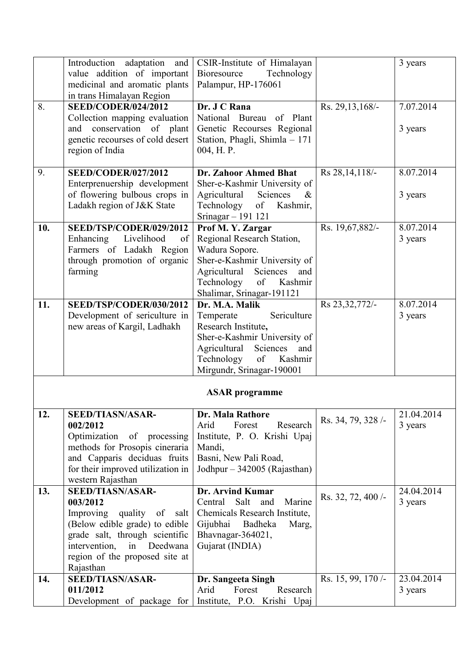|     | Introduction adaptation and<br>value addition of important                                                                                                                                                                | CSIR-Institute of Himalayan<br>Bioresource<br>Technology                                                                                                                                        |                   | 3 years               |
|-----|---------------------------------------------------------------------------------------------------------------------------------------------------------------------------------------------------------------------------|-------------------------------------------------------------------------------------------------------------------------------------------------------------------------------------------------|-------------------|-----------------------|
|     | medicinal and aromatic plants<br>in trans Himalayan Region                                                                                                                                                                | Palampur, HP-176061                                                                                                                                                                             |                   |                       |
| 8.  | <b>SEED/CODER/024/2012</b><br>Collection mapping evaluation<br>and conservation of plant<br>genetic recourses of cold desert<br>region of India                                                                           | Dr. J C Rana<br>of Plant<br>National Bureau<br>Genetic Recourses Regional<br>Station, Phagli, Shimla - 171<br>004, H.P.                                                                         | Rs. 29, 13, 168/- | 7.07.2014<br>3 years  |
| 9.  | <b>SEED/CODER/027/2012</b>                                                                                                                                                                                                | Dr. Zahoor Ahmed Bhat                                                                                                                                                                           | Rs 28, 14, 118/-  | 8.07.2014             |
|     | Enterprenuership development<br>of flowering bulbous crops in<br>Ladakh region of J&K State                                                                                                                               | Sher-e-Kashmir University of<br>Sciences<br>Agricultural<br>$\&$<br>Technology<br>of<br>Kashmir,<br>Srinagar - 191 121                                                                          |                   | 3 years               |
| 10. | SEED/TSP/CODER/029/2012<br>Enhancing Livelihood<br>of<br>Farmers of Ladakh Region<br>through promotion of organic<br>farming                                                                                              | Prof M.Y. Zargar<br>Regional Research Station,<br>Wadura Sopore.<br>Sher-e-Kashmir University of<br>Agricultural<br>Sciences<br>and<br>of<br>Technology<br>Kashmir<br>Shalimar, Srinagar-191121 | Rs. 19,67,882/-   | 8.07.2014<br>3 years  |
| 11. | SEED/TSP/CODER/030/2012<br>Development of sericulture in<br>new areas of Kargil, Ladhakh                                                                                                                                  | Dr. M.A. Malik<br>Sericulture<br>Temperate<br>Research Institute,<br>Sher-e-Kashmir University of<br>Agricultural Sciences<br>and<br>of<br>Technology<br>Kashmir<br>Mirgundr, Srinagar-190001   | Rs 23,32,772/-    | 8.07.2014<br>3 years  |
|     |                                                                                                                                                                                                                           | <b>ASAR</b> programme                                                                                                                                                                           |                   |                       |
| 12. | <b>SEED/TIASN/ASAR-</b><br>002/2012<br>Optimization of processing<br>methods for Prosopis cineraria<br>and Capparis deciduas fruits<br>for their improved utilization in<br>western Rajasthan                             | <b>Dr. Mala Rathore</b><br>Arid<br>Forest<br>Research<br>Institute, P. O. Krishi Upaj<br>Mandi,<br>Basni, New Pali Road,<br>Jodhpur – 342005 (Rajasthan)                                        | Rs. 34, 79, 328/- | 21.04.2014<br>3 years |
| 13. | <b>SEED/TIASN/ASAR-</b><br>003/2012<br>Improving quality of<br>salt<br>(Below edible grade) to edible<br>grade salt, through scientific<br>Deedwana<br>intervention,<br>in<br>region of the proposed site at<br>Rajasthan | Dr. Arvind Kumar<br>Salt<br>Central<br>and<br>Marine<br>Chemicals Research Institute,<br>Gijubhai Badheka<br>Marg,<br>Bhavnagar-364021,<br>Gujarat (INDIA)                                      | Rs. 32, 72, 400/- | 24.04.2014<br>3 years |
| 14. | <b>SEED/TIASN/ASAR-</b><br>011/2012<br>Development of package for                                                                                                                                                         | Dr. Sangeeta Singh<br>Forest<br>Research<br>Arid<br>Institute, P.O. Krishi Upaj                                                                                                                 | Rs. 15, 99, 170/- | 23.04.2014<br>3 years |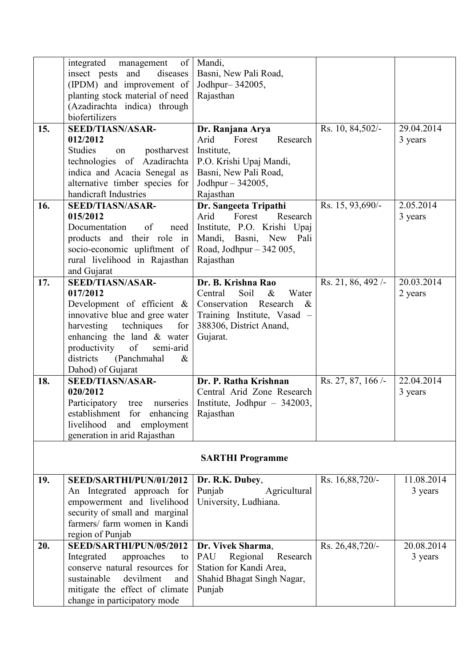|     | integrated<br>management<br>of<br>insect pests and<br>diseases<br>(IPDM) and improvement of<br>planting stock material of need                                                                                                                                      | Mandi,<br>Basni, New Pali Road,<br>Jodhpur-342005,<br>Rajasthan                                                                                               |                   |                       |  |
|-----|---------------------------------------------------------------------------------------------------------------------------------------------------------------------------------------------------------------------------------------------------------------------|---------------------------------------------------------------------------------------------------------------------------------------------------------------|-------------------|-----------------------|--|
|     | (Azadirachta indica) through<br>biofertilizers                                                                                                                                                                                                                      |                                                                                                                                                               |                   |                       |  |
| 15. | <b>SEED/TIASN/ASAR-</b><br>012/2012<br><b>Studies</b><br>postharvest<br>on<br>technologies of Azadirachta<br>indica and Acacia Senegal as<br>alternative timber species for<br>handicraft Industries                                                                | Dr. Ranjana Arya<br>Arid<br>Forest<br>Research<br>Institute,<br>P.O. Krishi Upaj Mandi,<br>Basni, New Pali Road,<br>Jodhpur $-342005$ ,<br>Rajasthan          | Rs. 10, 84,502/-  | 29.04.2014<br>3 years |  |
| 16. | <b>SEED/TIASN/ASAR-</b><br>015/2012<br>of<br>Documentation<br>need<br>products and their role in<br>socio-economic upliftment of<br>rural livelihood in Rajasthan<br>and Gujarat                                                                                    | Dr. Sangeeta Tripathi<br>Arid<br>Forest<br>Research<br>Institute, P.O. Krishi Upaj<br>Mandi, Basni, New<br>Pali<br>Road, Jodhpur $-342005$ ,<br>Rajasthan     | Rs. 15, 93,690/-  | 2.05.2014<br>3 years  |  |
| 17. | <b>SEED/TIASN/ASAR-</b><br>017/2012<br>Development of efficient &<br>innovative blue and gree water<br>harvesting<br>techniques<br>for<br>enhancing the land $&$ water<br>productivity<br>of<br>semi-arid<br>districts<br>(Panchmahal)<br>$\&$<br>Dahod) of Gujarat | Dr. B. Krishna Rao<br>Central<br>Soil<br>Water<br>$\&$<br>Conservation Research<br>$\&$<br>Training Institute, Vasad -<br>388306, District Anand,<br>Gujarat. | Rs. 21, 86, 492/- | 20.03.2014<br>2 years |  |
| 18. | <b>SEED/TIASN/ASAR-</b><br>020/2012<br>Participatory<br>tree<br>nurseries<br>establishment for enhancing<br>livelihood and<br>employment<br>generation in arid Rajasthan                                                                                            | Dr. P. Ratha Krishnan<br>Central Arid Zone Research<br>Institute, Jodhpur $-342003$ ,<br>Rajasthan                                                            | Rs. 27, 87, 166/- | 22.04.2014<br>3 years |  |
|     | <b>SARTHI Programme</b>                                                                                                                                                                                                                                             |                                                                                                                                                               |                   |                       |  |
| 19. | SEED/SARTHI/PUN/01/2012<br>An Integrated approach for<br>empowerment and livelihood<br>security of small and marginal<br>farmers/ farm women in Kandi<br>region of Punjab                                                                                           | Dr. R.K. Dubey,<br>Punjab<br>Agricultural<br>University, Ludhiana.                                                                                            | Rs. 16,88,720/-   | 11.08.2014<br>3 years |  |
| 20. | SEED/SARTHI/PUN/05/2012<br>Integrated<br>approaches<br>to<br>conserve natural resources for<br>sustainable<br>devilment<br>and<br>mitigate the effect of climate<br>change in participatory mode                                                                    | Dr. Vivek Sharma,<br>PAU<br>Regional<br>Research<br>Station for Kandi Area,<br>Shahid Bhagat Singh Nagar,<br>Punjab                                           | Rs. 26,48,720/-   | 20.08.2014<br>3 years |  |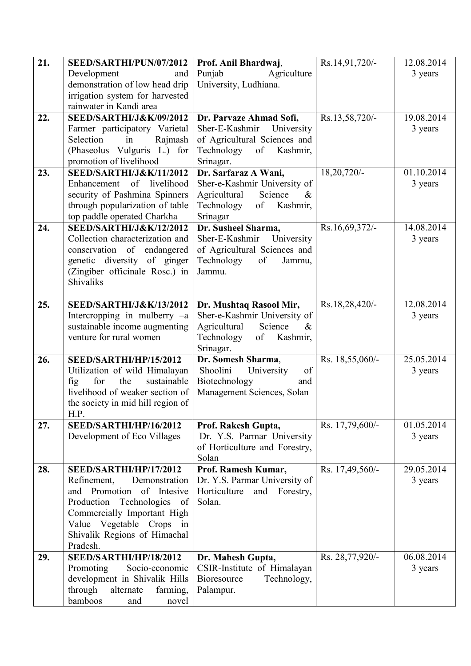| 21. | SEED/SARTHI/PUN/07/2012                                  | Prof. Anil Bhardwaj,            | Rs.14,91,720/-  | 12.08.2014 |
|-----|----------------------------------------------------------|---------------------------------|-----------------|------------|
|     | Development<br>and                                       | Punjab<br>Agriculture           |                 | 3 years    |
|     | demonstration of low head drip                           | University, Ludhiana.           |                 |            |
|     | irrigation system for harvested                          |                                 |                 |            |
|     | rainwater in Kandi area                                  |                                 |                 |            |
| 22. | <b>SEED/SARTHI/J&amp;K/09/2012</b>                       | Dr. Parvaze Ahmad Sofi,         | Rs.13,58,720/-  | 19.08.2014 |
|     | Farmer participatory Varietal                            | Sher-E-Kashmir<br>University    |                 | 3 years    |
|     | Selection<br>in<br>Rajmash                               | of Agricultural Sciences and    |                 |            |
|     | (Phaseolus Vulguris L.) for                              | Technology of Kashmir,          |                 |            |
|     | promotion of livelihood                                  | Srinagar.                       |                 |            |
| 23. | SEED/SARTHI/J&K/11/2012                                  | Dr. Sarfaraz A Wani,            | 18,20,720/-     | 01.10.2014 |
|     | Enhancement of livelihood                                | Sher-e-Kashmir University of    |                 | 3 years    |
|     | security of Pashmina Spinners                            | Science<br>Agricultural<br>&    |                 |            |
|     | through popularization of table                          | of<br>Kashmir,<br>Technology    |                 |            |
|     | top paddle operated Charkha                              | Srinagar                        |                 |            |
| 24. | <b>SEED/SARTHI/J&amp;K/12/2012</b>                       | Dr. Susheel Sharma,             | Rs.16,69,372/-  | 14.08.2014 |
|     | Collection characterization and                          | Sher-E-Kashmir<br>University    |                 | 3 years    |
|     | conservation of endangered                               | of Agricultural Sciences and    |                 |            |
|     | genetic diversity of ginger                              | Technology<br>of<br>Jammu,      |                 |            |
|     | (Zingiber officinale Rosc.) in                           | Jammu.                          |                 |            |
|     | <b>Shivaliks</b>                                         |                                 |                 |            |
| 25. | <b>SEED/SARTHI/J&amp;K/13/2012</b>                       | Dr. Mushtaq Rasool Mir,         | Rs.18,28,420/-  | 12.08.2014 |
|     | Intercropping in mulberry $-a$                           | Sher-e-Kashmir University of    |                 | 3 years    |
|     | sustainable income augmenting                            | Science<br>Agricultural<br>$\&$ |                 |            |
|     | venture for rural women                                  | Kashmir,<br>Technology<br>of    |                 |            |
|     |                                                          | Srinagar.                       |                 |            |
| 26. | SEED/SARTHI/HP/15/2012                                   | Dr. Somesh Sharma,              | Rs. 18,55,060/- | 25.05.2014 |
|     | Utilization of wild Himalayan                            | Shoolini<br>University<br>of    |                 | 3 years    |
|     | for<br>sustainable<br>the<br>fig                         | Biotechnology<br>and            |                 |            |
|     | livelihood of weaker section of                          | Management Sciences, Solan      |                 |            |
|     | the society in mid hill region of                        |                                 |                 |            |
|     | H.P.                                                     |                                 |                 |            |
| 27. | SEED/SARTHI/HP/16/2012                                   | Prof. Rakesh Gupta,             | Rs. 17,79,600/- | 01.05.2014 |
|     | Development of Eco Villages                              | Dr. Y.S. Parmar University      |                 | 3 years    |
|     |                                                          | of Horticulture and Forestry,   |                 |            |
|     |                                                          | Solan                           |                 |            |
| 28. | SEED/SARTHI/HP/17/2012                                   | Prof. Ramesh Kumar,             | Rs. 17,49,560/- | 29.05.2014 |
|     | Refinement,<br>Demonstration                             | Dr. Y.S. Parmar University of   |                 | 3 years    |
|     | and Promotion of Intesive                                | Horticulture<br>and Forestry,   |                 |            |
|     | Production Technologies of                               | Solan.                          |                 |            |
|     | Commercially Important High                              |                                 |                 |            |
|     | Value Vegetable Crops in<br>Shivalik Regions of Himachal |                                 |                 |            |
|     | Pradesh.                                                 |                                 |                 |            |
| 29. | SEED/SARTHI/HP/18/2012                                   | Dr. Mahesh Gupta,               | Rs. 28,77,920/- | 06.08.2014 |
|     | Promoting<br>Socio-economic                              | CSIR-Institute of Himalayan     |                 | 3 years    |
|     | development in Shivalik Hills                            | Bioresource<br>Technology,      |                 |            |
|     | through<br>alternate<br>farming,                         | Palampur.                       |                 |            |
|     | bamboos<br>and<br>novel                                  |                                 |                 |            |
|     |                                                          |                                 |                 |            |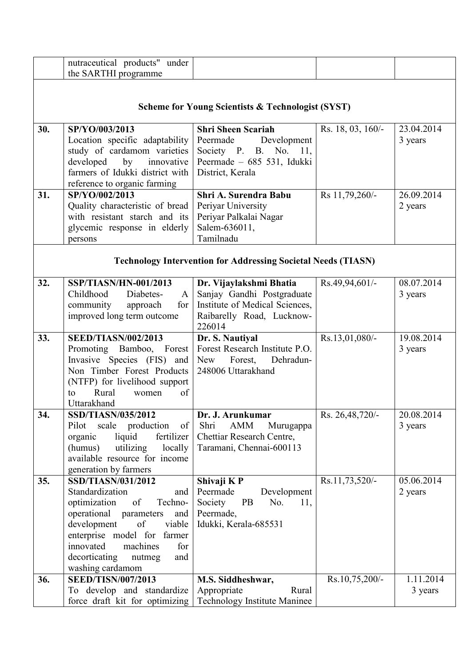|     | nutraceutical products" under                           |                                                                      |                   |                      |
|-----|---------------------------------------------------------|----------------------------------------------------------------------|-------------------|----------------------|
|     | the SARTHI programme                                    |                                                                      |                   |                      |
|     |                                                         |                                                                      |                   |                      |
|     |                                                         |                                                                      |                   |                      |
|     |                                                         | <b>Scheme for Young Scientists &amp; Technologist (SYST)</b>         |                   |                      |
|     |                                                         |                                                                      |                   |                      |
| 30. | SP/YO/003/2013                                          | <b>Shri Sheen Scariah</b>                                            | Rs. 18, 03, 160/- | 23.04.2014           |
|     | Location specific adaptability                          | Peermade<br>Development                                              |                   | 3 years              |
|     | study of cardamom varieties                             | Society P. B. No. 11,                                                |                   |                      |
|     | developed<br>by innovative                              | Peermade - 685 531, Idukki                                           |                   |                      |
|     | farmers of Idukki district with                         | District, Kerala                                                     |                   |                      |
|     | reference to organic farming                            |                                                                      |                   |                      |
| 31. | SP/YO/002/2013                                          | Shri A. Surendra Babu                                                | Rs 11,79,260/-    | 26.09.2014           |
|     | Quality characteristic of bread                         | Periyar University                                                   |                   | 2 years              |
|     | with resistant starch and its                           | Periyar Palkalai Nagar                                               |                   |                      |
|     | glycemic response in elderly                            | Salem-636011,                                                        |                   |                      |
|     | persons                                                 | Tamilnadu                                                            |                   |                      |
|     |                                                         |                                                                      |                   |                      |
|     |                                                         | <b>Technology Intervention for Addressing Societal Needs (TIASN)</b> |                   |                      |
|     |                                                         |                                                                      |                   | 08.07.2014           |
| 32. | SSP/TIASN/HN-001/2013<br>Childhood<br>Diabetes-         | Dr. Vijaylakshmi Bhatia                                              | Rs.49,94,601/-    |                      |
|     | $\mathbf{A}$<br>for                                     | Sanjay Gandhi Postgraduate<br>Institute of Medical Sciences,         |                   | 3 years              |
|     | community<br>approach<br>improved long term outcome     |                                                                      |                   |                      |
|     |                                                         | Raibarelly Road, Lucknow-<br>226014                                  |                   |                      |
|     |                                                         |                                                                      |                   |                      |
| 33. | <b>SEED/TIASN/002/2013</b>                              |                                                                      | Rs.13,01,080/-    | 19.08.2014           |
|     | Promoting Bamboo, Forest                                | Dr. S. Nautiyal<br>Forest Research Institute P.O.                    |                   | 3 years              |
|     | Invasive Species (FIS) and                              | New Forest, Dehradun-                                                |                   |                      |
|     | Non Timber Forest Products                              | 248006 Uttarakhand                                                   |                   |                      |
|     | (NTFP) for livelihood support                           |                                                                      |                   |                      |
|     | Rural<br>of<br>to<br>women                              |                                                                      |                   |                      |
|     | Uttarakhand                                             |                                                                      |                   |                      |
| 34. | SSD/TIASN/035/2012                                      | Dr. J. Arunkumar                                                     | Rs. 26,48,720/-   | 20.08.2014           |
|     | scale production<br>Pilot<br>$\sigma$ f                 | Shri<br>AMM<br>Murugappa                                             |                   | 3 years              |
|     | liquid<br>organic<br>fertilizer                         | Chettiar Research Centre,                                            |                   |                      |
|     | utilizing<br>(humus)<br>locally                         | Taramani, Chennai-600113                                             |                   |                      |
|     | available resource for income                           |                                                                      |                   |                      |
|     | generation by farmers                                   |                                                                      |                   |                      |
| 35. | SSD/TIASN/031/2012                                      | Shivaji KP                                                           | Rs.11,73,520/-    | 05.06.2014           |
|     | Standardization<br>and                                  | Peermade<br>Development                                              |                   | 2 years              |
|     | of<br>optimization<br>Techno-                           | <b>PB</b><br>No.<br>11,<br>Society                                   |                   |                      |
|     | operational parameters<br>and                           | Peermade,                                                            |                   |                      |
|     | development<br>of<br>viable                             | Idukki, Kerala-685531                                                |                   |                      |
|     | enterprise model for farmer                             |                                                                      |                   |                      |
|     | innovated<br>machines<br>for                            |                                                                      |                   |                      |
|     | decorticating<br>nutmeg<br>and                          |                                                                      |                   |                      |
|     | washing cardamom                                        |                                                                      |                   |                      |
| 36. | <b>SEED/TISN/007/2013</b><br>To develop and standardize | M.S. Siddheshwar,<br>Appropriate<br>Rural                            | Rs.10,75,200/-    | 1.11.2014<br>3 years |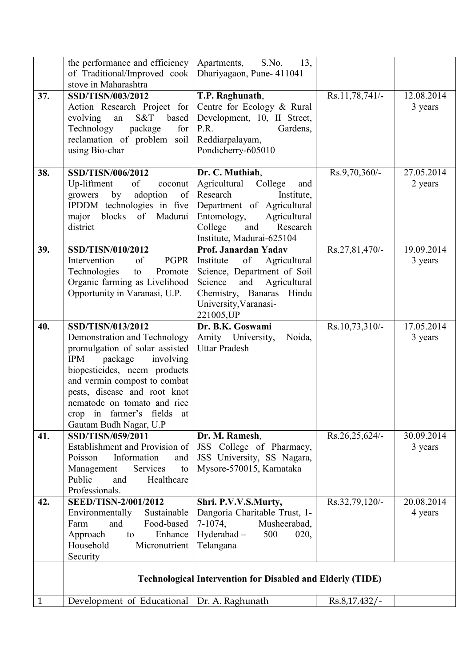|              | the performance and efficiency<br>of Traditional/Improved cook<br>stove in Maharashtra                                                                                                                                                                                                                       | S.No.<br>13,<br>Apartments,<br>Dhariyagaon, Pune- 411041                                                                                                                                            |                |                       |  |
|--------------|--------------------------------------------------------------------------------------------------------------------------------------------------------------------------------------------------------------------------------------------------------------------------------------------------------------|-----------------------------------------------------------------------------------------------------------------------------------------------------------------------------------------------------|----------------|-----------------------|--|
| 37.          | SSD/TISN/003/2012<br>Action Research Project for<br>S&T<br>based<br>evolving<br>an<br>Technology<br>package<br>for<br>reclamation of problem soil<br>using Bio-char                                                                                                                                          | T.P. Raghunath,<br>Centre for Ecology & Rural<br>Development, 10, II Street,<br>Gardens,<br>P.R.<br>Reddiarpalayam,<br>Pondicherry-605010                                                           | Rs.11,78,741/- | 12.08.2014<br>3 years |  |
| 38.          | SSD/TISN/006/2012<br>Up-liftment<br>of<br>coconut<br>by<br>adoption<br>growers<br>of<br>IPDDM technologies in five<br>major blocks of Madurai<br>district                                                                                                                                                    | Dr. C. Muthiah,<br>Agricultural<br>College<br>and<br>Research<br>Institute,<br>Department of Agricultural<br>Entomology,<br>Agricultural<br>and<br>College<br>Research<br>Institute, Madurai-625104 | Rs.9,70,360/-  | 27.05.2014<br>2 years |  |
| 39.          | SSD/TISN/010/2012<br>of<br>Intervention<br>PGPR<br>Technologies<br>Promote<br>to<br>Organic farming as Livelihood<br>Opportunity in Varanasi, U.P.                                                                                                                                                           | Prof. Janardan Yadav<br>of<br>Agricultural<br>Institute<br>Science, Department of Soil<br>Agricultural<br>and<br>Science<br>Hindu<br>Chemistry, Banaras<br>University, Varanasi-<br>221005, UP      | Rs.27,81,470/- | 19.09.2014<br>3 years |  |
| 40.          | SSD/TISN/013/2012<br>Demonstration and Technology<br>promulgation of solar assisted<br>IPM<br>package<br>involving<br>biopesticides, neem products<br>and vermin compost to combat<br>pests, disease and root knot<br>nematode on tomato and rice<br>crop in farmer's fields<br>at<br>Gautam Budh Nagar, U.P | Dr. B.K. Goswami<br>Amity University,<br>Noida,<br><b>Uttar Pradesh</b>                                                                                                                             | Rs.10,73,310/- | 17.05.2014<br>3 years |  |
| 41.          | SSD/TISN/059/2011<br>Establishment and Provision of<br>Information<br>Poisson<br>and<br>Management<br>Services<br>to<br>Public<br>Healthcare<br>and<br>Professionals.                                                                                                                                        | Dr. M. Ramesh,<br>JSS College of Pharmacy,<br>JSS University, SS Nagara,<br>Mysore-570015, Karnataka                                                                                                | Rs.26,25,624/- | 30.09.2014<br>3 years |  |
| 42.          | <b>SEED/TISN-2/001/2012</b><br>Sustainable<br>Environmentally<br>Food-based<br>Farm<br>and<br>Approach<br>Enhance<br>to<br>Household<br>Micronutrient<br>Security                                                                                                                                            | Shri. P.V.V.S.Murty,<br>Dangoria Charitable Trust, 1-<br>7-1074,<br>Musheerabad,<br>Hyderabad-<br>500<br>020,<br>Telangana                                                                          | Rs.32,79,120/- | 20.08.2014<br>4 years |  |
|              | <b>Technological Intervention for Disabled and Elderly (TIDE)</b>                                                                                                                                                                                                                                            |                                                                                                                                                                                                     |                |                       |  |
| $\mathbf{1}$ | Development of Educational                                                                                                                                                                                                                                                                                   | Dr. A. Raghunath                                                                                                                                                                                    | Rs.8,17,432/-  |                       |  |